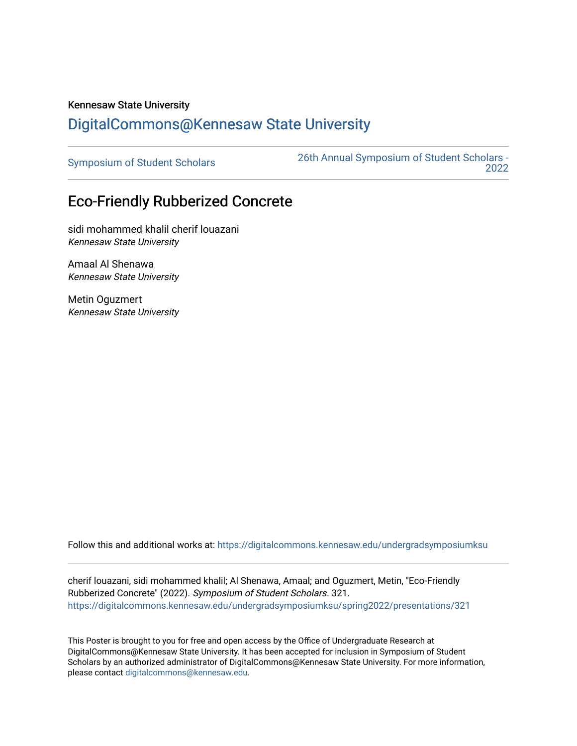## Kennesaw State University [DigitalCommons@Kennesaw State University](https://digitalcommons.kennesaw.edu/)

[Symposium of Student Scholars](https://digitalcommons.kennesaw.edu/undergradsymposiumksu) [26th Annual Symposium of Student Scholars -](https://digitalcommons.kennesaw.edu/undergradsymposiumksu/spring2022)  [2022](https://digitalcommons.kennesaw.edu/undergradsymposiumksu/spring2022) 

## Eco-Friendly Rubberized Concrete

sidi mohammed khalil cherif louazani Kennesaw State University

Amaal Al Shenawa Kennesaw State University

Metin Oguzmert Kennesaw State University

Follow this and additional works at: [https://digitalcommons.kennesaw.edu/undergradsymposiumksu](https://digitalcommons.kennesaw.edu/undergradsymposiumksu?utm_source=digitalcommons.kennesaw.edu%2Fundergradsymposiumksu%2Fspring2022%2Fpresentations%2F321&utm_medium=PDF&utm_campaign=PDFCoverPages) 

cherif louazani, sidi mohammed khalil; Al Shenawa, Amaal; and Oguzmert, Metin, "Eco-Friendly Rubberized Concrete" (2022). Symposium of Student Scholars. 321. [https://digitalcommons.kennesaw.edu/undergradsymposiumksu/spring2022/presentations/321](https://digitalcommons.kennesaw.edu/undergradsymposiumksu/spring2022/presentations/321?utm_source=digitalcommons.kennesaw.edu%2Fundergradsymposiumksu%2Fspring2022%2Fpresentations%2F321&utm_medium=PDF&utm_campaign=PDFCoverPages)

This Poster is brought to you for free and open access by the Office of Undergraduate Research at DigitalCommons@Kennesaw State University. It has been accepted for inclusion in Symposium of Student Scholars by an authorized administrator of DigitalCommons@Kennesaw State University. For more information, please contact [digitalcommons@kennesaw.edu.](mailto:digitalcommons@kennesaw.edu)